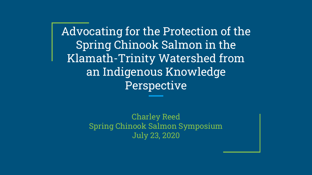Advocating for the Protection of the Spring Chinook Salmon in the Klamath-Trinity Watershed from an Indigenous Knowledge Perspective

> Charley Reed Spring Chinook Salmon Symposium July 23, 2020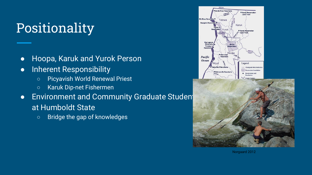## Positionality

- Hoopa, Karuk and Yurok Person
- **•** Inherent Responsibility
	- Picyavish World Renewal Priest
	- Karuk Dip-net Fishermen
- Environment and Community Graduate Studen at Humboldt State
	- Bridge the gap of knowledges





Norgaard 2012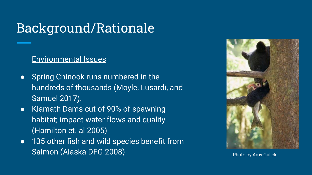### Background/Rationale

#### Environmental Issues

- Spring Chinook runs numbered in the hundreds of thousands (Moyle, Lusardi, and Samuel 2017).
- Klamath Dams cut of 90% of spawning habitat; impact water flows and quality (Hamilton et. al 2005)
- 135 other fish and wild species benefit from Salmon (Alaska DFG 2008) **Photo by Amy Gulick**

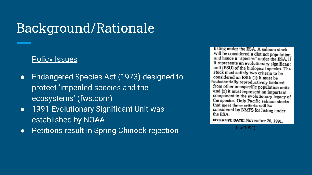### Background/Rationale

#### Policy Issues

- Endangered Species Act (1973) designed to protect 'imperiled species and the ecosystems' (fws.com)
- 1991 Evolutionary Significant Unit was established by NOAA
- Petitions result in Spring Chinook rejection (Fox 1991)

listing under the ESA. A salmon stock will be considered a distinct population. and hence a "species" under the ESA, if it represents an evolutionary significant unit (ESU) of the biological species. The stock must satisfy two criteria to be considered an ESU: (1) It must be substantially reproductively isolated from other nonspecific population units: and (2) it must represent an important component in the evolutionary legacy of the species. Only Pacific salmon stocks that meet these criteria will be considered by NMFS for listing under the ESA.

EFFECTIVE DATE: November 20, 1991.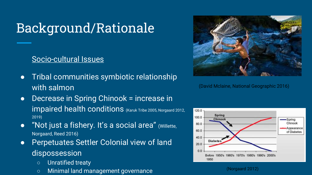## Background/Rationale

#### Socio-cultural Issues

- Tribal communities symbiotic relationship with salmon
- Decrease in Spring Chinook = increase in impaired health conditions (Karuk Tribe 2005, Norgaard 2012, 2019)
- "Not just a fishery. It's a social area" (Willette, Norgaard, Reed 2016)
- **Perpetuates Settler Colonial view of land** dispossession
	- Unratified treaty
	- Minimal land management governance (Norgaard 2012)



(David Mclaine, National Geographic 2016)

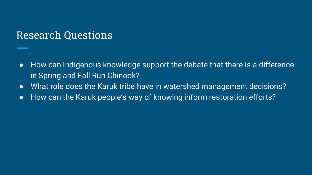#### Research Questions

- How can Indigenous knowledge support the debate that there is a difference in Spring and Fall Run Chinook?
- What role does the Karuk tribe have in watershed management decisions?
- How can the Karuk people's way of knowing inform restoration efforts?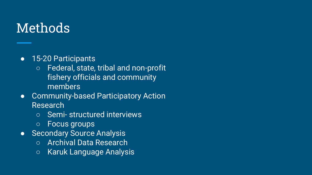### Methods

#### ● 15-20 Participants

- Federal, state, tribal and non-profit fishery officials and community members
- Community-based Participatory Action Research
	- Semi- structured interviews
	- Focus groups
- Secondary Source Analysis
	- Archival Data Research
	- Karuk Language Analysis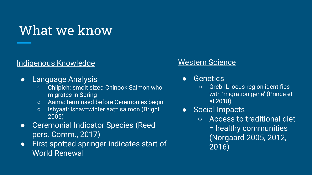### What we know

#### Indigenous Knowledge

- Language Analysis
	- Chiipich: smolt sized Chinook Salmon who migrates in Spring
	- Aama: term used before Ceremonies begin
	- Ishyaat: Ishav=winter aat= salmon (Bright 2005)
- Ceremonial Indicator Species (Reed pers. Comm., 2017)
- First spotted springer indicates start of World Renewal

#### Western Science

- Genetics
	- Greb1L locus region identifies with 'migration gene' (Prince et al 2018)
- Social Impacts
	- Access to traditional diet = healthy communities (Norgaard 2005, 2012, 2016)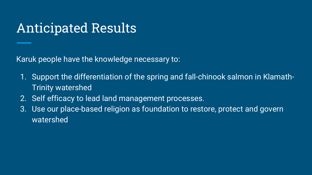### Anticipated Results

Karuk people have the knowledge necessary to:

- 1. Support the differentiation of the spring and fall-chinook salmon in Klamath-Trinity watershed
- 2. Self efficacy to lead land management processes.
- 3. Use our place-based religion as foundation to restore, protect and govern watershed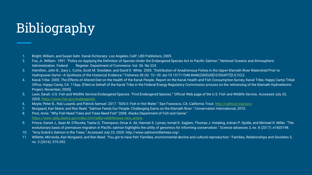# **Bibliography**

- 1. Bright, William, and Susan Gehr. Karuk Dictionary. Los Angeles, Calif: LBD Publishers, 2005.
- 2. Fox, Jr. William. 1991. "Policy on Applying the Definition of Species Under the Endangered Species Act to Pacific Salmon." National Oceanic and Atmospheric Administration. Federal Register. Department of Commerce. Vol. 56. No.224.
- 3. Hamilton, John B., Gary L. Curtis, Scott M. Snedaker, and David K. White. 2005. "Distribution of Anadromous Fishes in the Upper Klamath River Watershed Prior to Hydropower Dams—A Synthesis of the Historical Evidence." Fisheries 30 (4): 10–20. doi:10.1577/1548-8446(2005)30[10:DOAFIT]2.0.CO;2.
- 4. Karuk Tribe. 2005. The Effects of Altered Diet on the Health of the Karuk People. Report on the Karuk Health and Fish Consumption Survey, Karuk Tribe, Happy Camp Tribal Office, Happy Camp, CA. 116pp. [Filed on behalf of the Karuk Tribe in the Federal Energy Regulatory Commission process on the relicensing of the Klamath Hydroelectric Project, November, 2005]
- 5. Leon, Sarah. U.S. Fish and Wildlife Service/Endangered Species. "Find Endangered Species." Official Web page of the U.S. Fish and Wildlife Service. Accessed July 23, 2020. [https://www.fws.gov/endangered/.](https://www.fws.gov/endangered/)
- 6. Moyle, Peter B., Rob Lusardi, and Patrick Samuel. 2017. "SOS II: Fish in Hot Water." San Francisco, CA: California Trout. [http://caltrout.org/sos/.](http://caltrout.org/sos/)
- 7. Norgaard, Kari Marie, and Ron Reed. "Salmon Feeds Our People: Challenging Dams on the Klamath River." Conservation International, 2010.
- 8. Post, Anne. "Why Fish Need Trees and Trees Need Fish" 2008. Alaska Department of Fish and Game," [https://www.adfg.alaska.gov/index.cfm?adfg=wildlifenews.view\\_article.](https://www.adfg.alaska.gov/index.cfm?adfg=wildlifenews.view_article)
- 9. Prince, Daniel J., Sean M. O'Rourke, Tasha Q. Thompson, Omar A. Ali, Hannah S. Lyman, Ismail K. Saglam, Thomas J. Hotaling, Adrian P. Spidle, and Michael R. Miller. "The evolutionary basis of premature migration in Pacific salmon highlights the utility of genomics for informing conservation." Science advances 3, no. 8 (2017): e1603198.
- 10. "Amy Gulick's Salmon in the Trees." Accessed July 23, 2020. http://www.salmoninthetrees.org/.
- 11. Willette, Mirranda, Kari Norgaard, and Ron Reed. "You got to have fish: Families, environmental decline and cultural reproduction." Families, Relationships and Societies 5, no. 3 (2016): 375-392.